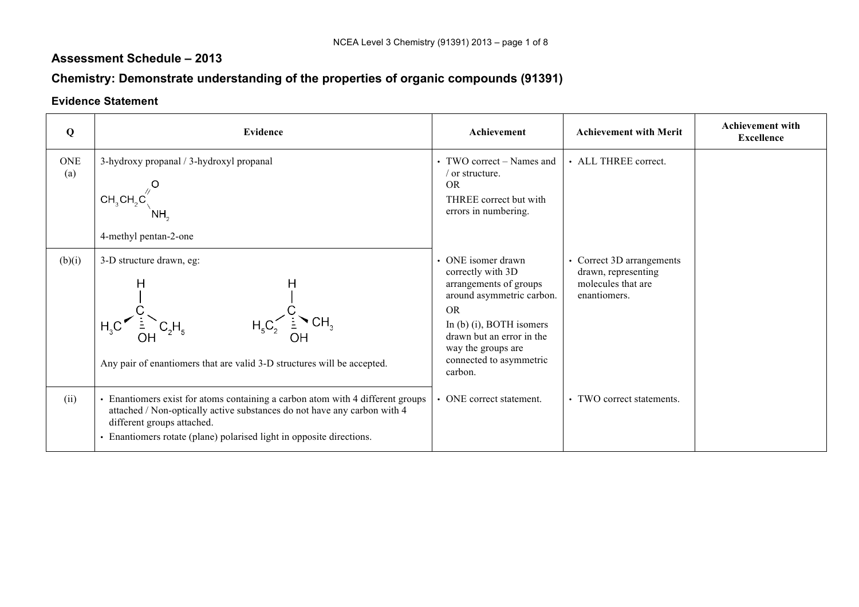### **Assessment Schedule – 2013**

# **Chemistry: Demonstrate understanding of the properties of organic compounds (91391)**

#### **Evidence Statement**

| Q                 | <b>Evidence</b>                                                                                                                                                                                                                                                  | Achievement                                                                                                                                                                                                                      | <b>Achievement with Merit</b>                                                          | <b>Achievement with</b><br><b>Excellence</b> |
|-------------------|------------------------------------------------------------------------------------------------------------------------------------------------------------------------------------------------------------------------------------------------------------------|----------------------------------------------------------------------------------------------------------------------------------------------------------------------------------------------------------------------------------|----------------------------------------------------------------------------------------|----------------------------------------------|
| <b>ONE</b><br>(a) | 3-hydroxy propanal / 3-hydroxyl propanal<br>CH <sub>3</sub> CH <sub>2</sub> C<br>4-methyl pentan-2-one                                                                                                                                                           | • TWO correct – Names and<br>or structure.<br><b>OR</b><br>THREE correct but with<br>errors in numbering.                                                                                                                        | • ALL THREE correct.                                                                   |                                              |
| (b)(i)            | 3-D structure drawn, eg:<br>н<br>Η<br>Any pair of enantiomers that are valid 3-D structures will be accepted.                                                                                                                                                    | • ONE isomer drawn<br>correctly with 3D<br>arrangements of groups<br>around asymmetric carbon.<br><b>OR</b><br>In (b) (i), BOTH isomers<br>drawn but an error in the<br>way the groups are<br>connected to asymmetric<br>carbon. | • Correct 3D arrangements<br>drawn, representing<br>molecules that are<br>enantiomers. |                                              |
| (ii)              | • Enantiomers exist for atoms containing a carbon atom with 4 different groups<br>attached / Non-optically active substances do not have any carbon with 4<br>different groups attached.<br>• Enantiomers rotate (plane) polarised light in opposite directions. | • ONE correct statement.                                                                                                                                                                                                         | • TWO correct statements.                                                              |                                              |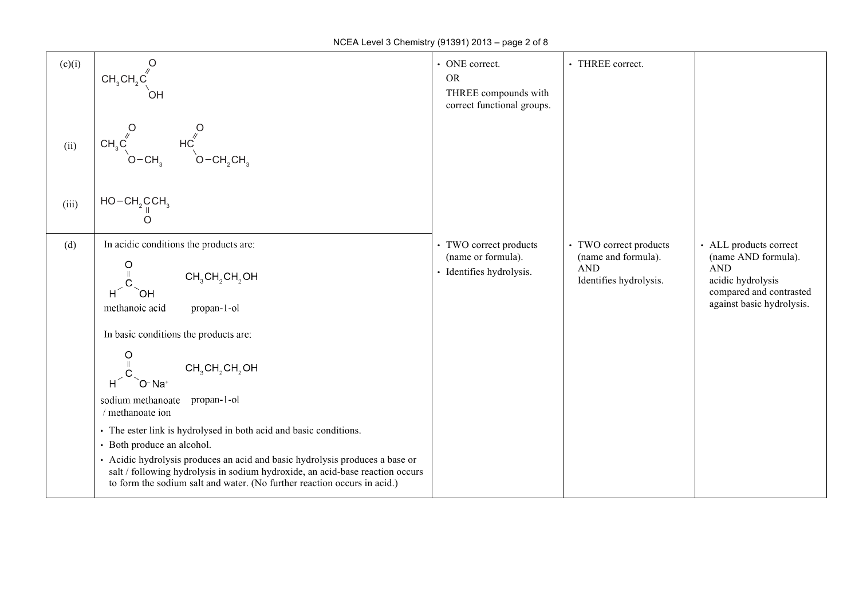| (c)(i) | $CH_3CH_2C$                                                                                                                                                                                                                                                                                                                                  | • ONE correct.<br><b>OR</b><br>THREE compounds with<br>correct functional groups. | • THREE correct.                                                                      |                                                                                                                                          |
|--------|----------------------------------------------------------------------------------------------------------------------------------------------------------------------------------------------------------------------------------------------------------------------------------------------------------------------------------------------|-----------------------------------------------------------------------------------|---------------------------------------------------------------------------------------|------------------------------------------------------------------------------------------------------------------------------------------|
| (ii)   | $\begin{matrix} & O \\ & \searrow \\ \searrow & \searrow \\ & O - CH_2 CH_3 \end{matrix}$<br>$CH_3C^{''}$                                                                                                                                                                                                                                    |                                                                                   |                                                                                       |                                                                                                                                          |
| (iii)  | $HO - CH2 CCH3$<br>O                                                                                                                                                                                                                                                                                                                         |                                                                                   |                                                                                       |                                                                                                                                          |
| (d)    | In acidic conditions the products are:<br>$CH3CH2CH2OH$<br>$H^2$<br>`OH<br>methanoic acid<br>propan-1-ol                                                                                                                                                                                                                                     | • TWO correct products<br>(name or formula).<br>· Identifies hydrolysis.          | • TWO correct products<br>(name and formula).<br><b>AND</b><br>Identifies hydrolysis. | • ALL products correct<br>(name AND formula).<br><b>AND</b><br>acidic hydrolysis<br>compared and contrasted<br>against basic hydrolysis. |
|        | In basic conditions the products are:<br>$\circ$<br>$CH_3CH_2CH_2OH$<br>$H^2$<br>`O <sup>-</sup> Na <sup>+</sup>                                                                                                                                                                                                                             |                                                                                   |                                                                                       |                                                                                                                                          |
|        | sodium methanoate propan-1-ol<br>/ methanoate ion                                                                                                                                                                                                                                                                                            |                                                                                   |                                                                                       |                                                                                                                                          |
|        | • The ester link is hydrolysed in both acid and basic conditions.<br>• Both produce an alcohol.<br>• Acidic hydrolysis produces an acid and basic hydrolysis produces a base or<br>salt / following hydrolysis in sodium hydroxide, an acid-base reaction occurs<br>to form the sodium salt and water. (No further reaction occurs in acid.) |                                                                                   |                                                                                       |                                                                                                                                          |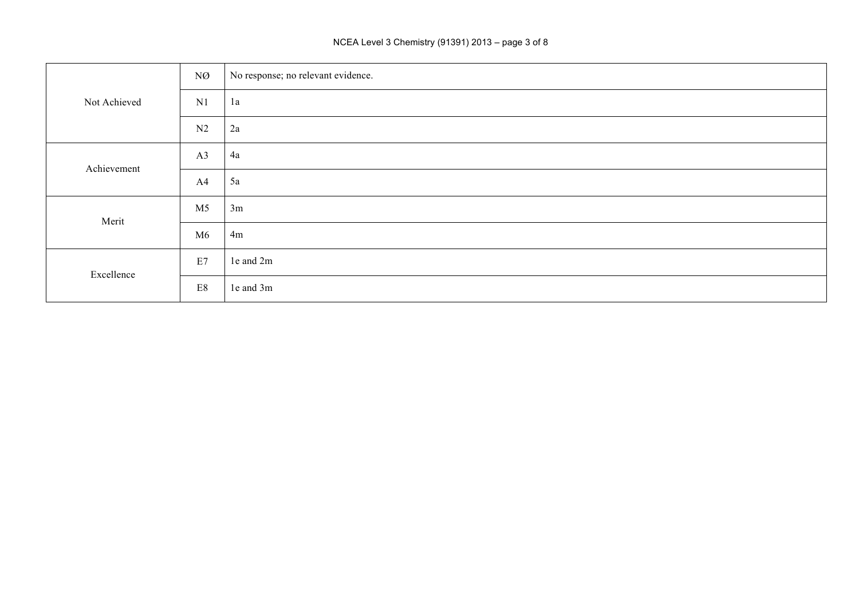#### NCEA Level 3 Chemistry (91391) 2013 – page 3 of 8

|              | NØ             | No response; no relevant evidence. |
|--------------|----------------|------------------------------------|
| Not Achieved | N1             | 1a                                 |
|              | N2             | 2a                                 |
| Achievement  | A3             | 4a                                 |
|              | A4             | 5a                                 |
| Merit        | M <sub>5</sub> | 3m                                 |
|              | M6             | 4m                                 |
| Excellence   | E7             | 1e and 2m                          |
|              | E8             | 1e and 3m                          |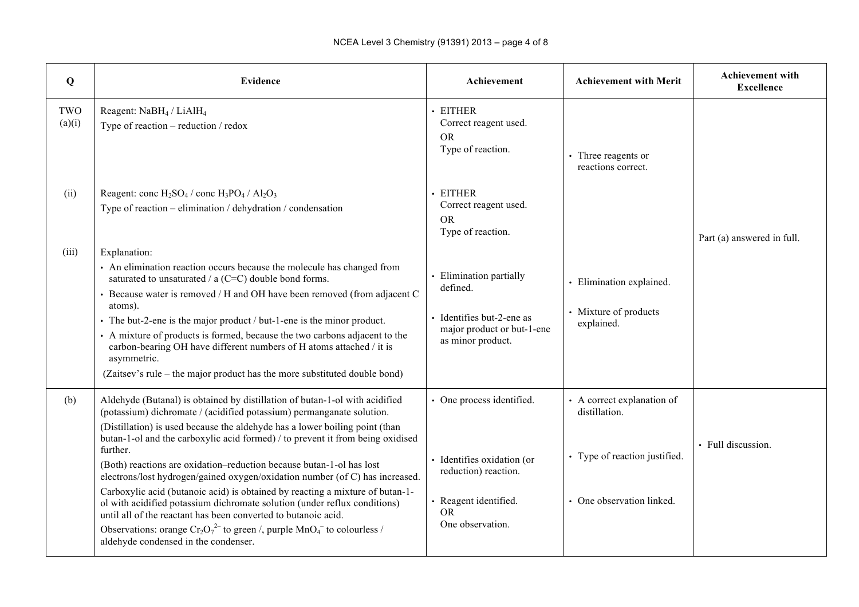| Q             | <b>Evidence</b>                                                                                                                                                                                                                                                                                                                                                                                                                                                                                                                                                                                                                                                                                                                                                                                                                                       | Achievement                                                                                                                             | <b>Achievement with Merit</b>                                                                             | <b>Achievement with</b><br><b>Excellence</b> |
|---------------|-------------------------------------------------------------------------------------------------------------------------------------------------------------------------------------------------------------------------------------------------------------------------------------------------------------------------------------------------------------------------------------------------------------------------------------------------------------------------------------------------------------------------------------------------------------------------------------------------------------------------------------------------------------------------------------------------------------------------------------------------------------------------------------------------------------------------------------------------------|-----------------------------------------------------------------------------------------------------------------------------------------|-----------------------------------------------------------------------------------------------------------|----------------------------------------------|
| TWO<br>(a)(i) | Reagent: NaBH <sub>4</sub> / LiAlH <sub>4</sub><br>Type of reaction $-$ reduction $/$ redox                                                                                                                                                                                                                                                                                                                                                                                                                                                                                                                                                                                                                                                                                                                                                           | · EITHER<br>Correct reagent used.<br><b>OR</b><br>Type of reaction.                                                                     | • Three reagents or<br>reactions correct.                                                                 |                                              |
| (ii)          | Reagent: conc $H_2SO_4$ / conc $H_3PO_4$ / $Al_2O_3$<br>Type of reaction – elimination / dehydration / condensation                                                                                                                                                                                                                                                                                                                                                                                                                                                                                                                                                                                                                                                                                                                                   | · EITHER<br>Correct reagent used.<br><b>OR</b><br>Type of reaction.                                                                     |                                                                                                           | Part (a) answered in full.                   |
| (iii)         | Explanation:<br>• An elimination reaction occurs because the molecule has changed from<br>saturated to unsaturated / $a$ (C=C) double bond forms.<br>• Because water is removed / H and OH have been removed (from adjacent C<br>atoms).<br>• The but-2-ene is the major product / but-1-ene is the minor product.<br>• A mixture of products is formed, because the two carbons adjacent to the<br>carbon-bearing OH have different numbers of H atoms attached / it is<br>asymmetric.<br>(Zaitsev's rule – the major product has the more substituted double bond)                                                                                                                                                                                                                                                                                  | · Elimination partially<br>defined.<br>Identifies but-2-ene as<br>major product or but-1-ene<br>as minor product.                       | · Elimination explained.<br>• Mixture of products<br>explained.                                           |                                              |
| (b)           | Aldehyde (Butanal) is obtained by distillation of butan-1-ol with acidified<br>(potassium) dichromate / (acidified potassium) permanganate solution.<br>(Distillation) is used because the aldehyde has a lower boiling point (than<br>butan-1-ol and the carboxylic acid formed) / to prevent it from being oxidised<br>further.<br>(Both) reactions are oxidation-reduction because butan-1-ol has lost<br>electrons/lost hydrogen/gained oxygen/oxidation number (of C) has increased.<br>Carboxylic acid (butanoic acid) is obtained by reacting a mixture of butan-1-<br>ol with acidified potassium dichromate solution (under reflux conditions)<br>until all of the reactant has been converted to butanoic acid.<br>Observations: orange $Cr_2O_7^{2-}$ to green /, purple $MnO_4^-$ to colourless /<br>aldehyde condensed in the condenser. | • One process identified.<br>Identifies oxidation (or<br>reduction) reaction.<br>· Reagent identified.<br><b>OR</b><br>One observation. | • A correct explanation of<br>distillation.<br>• Type of reaction justified.<br>• One observation linked. | · Full discussion.                           |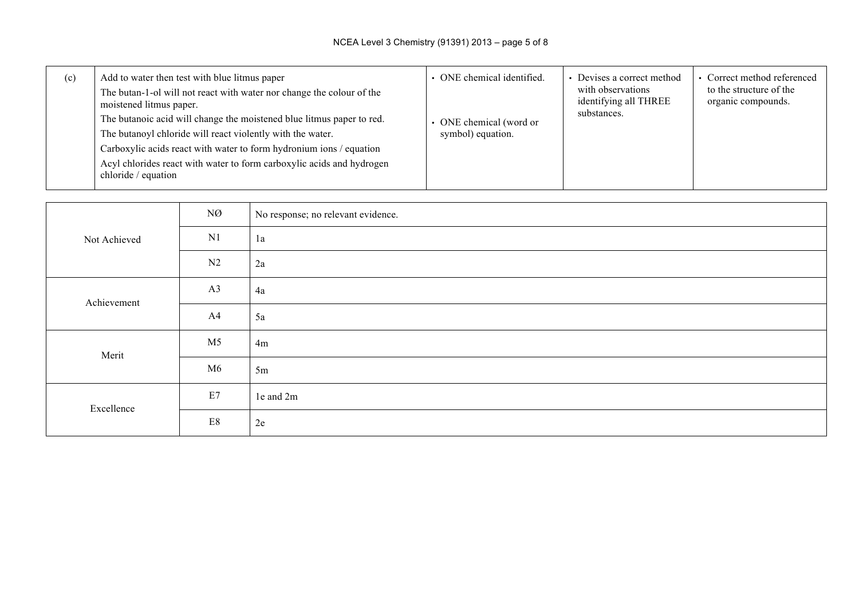| (c) | Add to water then test with blue litmus paper<br>The butan-1-ol will not react with water nor change the colour of the<br>moistened litmus paper.<br>The butanoic acid will change the moistened blue litmus paper to red.<br>The butanoyl chloride will react violently with the water.<br>Carboxylic acids react with water to form hydronium ions / equation<br>Acyl chlorides react with water to form carboxylic acids and hydrogen<br>chloride / equation | • ONE chemical identified.<br>ONE chemical (word or<br>symbol) equation. | Devises a correct method<br>with observations<br>identifying all THREE<br>substances. | • Correct method referenced<br>to the structure of the<br>organic compounds. |
|-----|-----------------------------------------------------------------------------------------------------------------------------------------------------------------------------------------------------------------------------------------------------------------------------------------------------------------------------------------------------------------------------------------------------------------------------------------------------------------|--------------------------------------------------------------------------|---------------------------------------------------------------------------------------|------------------------------------------------------------------------------|
|-----|-----------------------------------------------------------------------------------------------------------------------------------------------------------------------------------------------------------------------------------------------------------------------------------------------------------------------------------------------------------------------------------------------------------------------------------------------------------------|--------------------------------------------------------------------------|---------------------------------------------------------------------------------------|------------------------------------------------------------------------------|

|              | NØ             | No response; no relevant evidence. |
|--------------|----------------|------------------------------------|
| Not Achieved | N1             | 1a                                 |
|              | N2             | 2a                                 |
| Achievement  | A3             | 4a                                 |
|              | A4             | 5a                                 |
| Merit        | M <sub>5</sub> | 4m                                 |
|              | M6             | 5m                                 |
| Excellence   | E7             | le and 2m                          |
|              | $\mathrm{E}8$  | 2e                                 |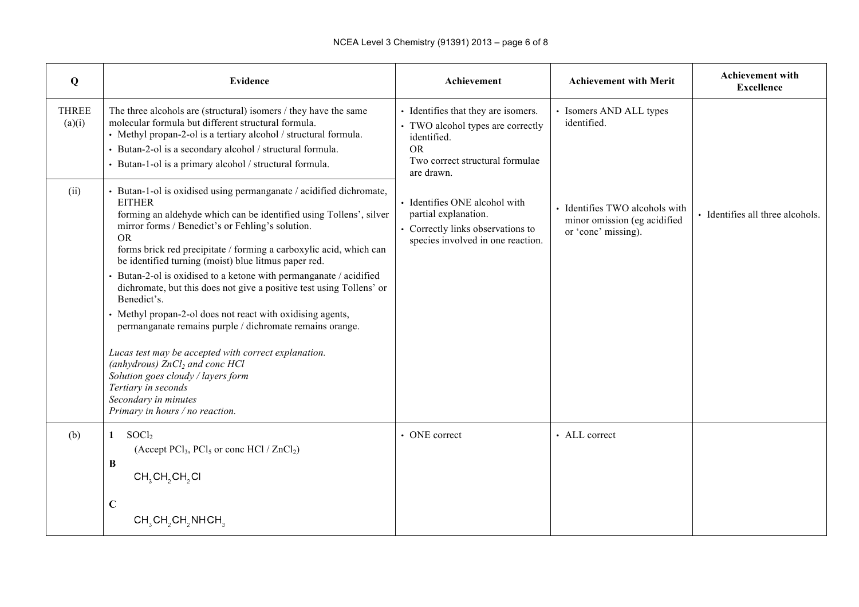| $\mathbf Q$            | <b>Evidence</b>                                                                                                                                                                                                                                                                                                                                                                                                                                                                                                                                                                                                                                                                                                                                                                                                                                                | Achievement                                                                                                                                           | <b>Achievement with Merit</b>                                                         | <b>Achievement with</b><br><b>Excellence</b> |
|------------------------|----------------------------------------------------------------------------------------------------------------------------------------------------------------------------------------------------------------------------------------------------------------------------------------------------------------------------------------------------------------------------------------------------------------------------------------------------------------------------------------------------------------------------------------------------------------------------------------------------------------------------------------------------------------------------------------------------------------------------------------------------------------------------------------------------------------------------------------------------------------|-------------------------------------------------------------------------------------------------------------------------------------------------------|---------------------------------------------------------------------------------------|----------------------------------------------|
| <b>THREE</b><br>(a)(i) | The three alcohols are (structural) isomers / they have the same<br>molecular formula but different structural formula.<br>• Methyl propan-2-ol is a tertiary alcohol / structural formula.<br>Butan-2-ol is a secondary alcohol / structural formula.<br>• Butan-1-ol is a primary alcohol / structural formula.                                                                                                                                                                                                                                                                                                                                                                                                                                                                                                                                              | • Identifies that they are isomers.<br>• TWO alcohol types are correctly<br>identified.<br><b>OR</b><br>Two correct structural formulae<br>are drawn. | • Isomers AND ALL types<br>identified.                                                |                                              |
| (ii)                   | Butan-1-ol is oxidised using permanganate / acidified dichromate,<br><b>EITHER</b><br>forming an aldehyde which can be identified using Tollens', silver<br>mirror forms / Benedict's or Fehling's solution.<br><b>OR</b><br>forms brick red precipitate / forming a carboxylic acid, which can<br>be identified turning (moist) blue litmus paper red.<br>Butan-2-ol is oxidised to a ketone with permanganate / acidified<br>dichromate, but this does not give a positive test using Tollens' or<br>Benedict's.<br>Methyl propan-2-ol does not react with oxidising agents,<br>permanganate remains purple / dichromate remains orange.<br>Lucas test may be accepted with correct explanation.<br>(anhydrous) $ZnCl2$ and conc HCl<br>Solution goes cloudy / layers form<br>Tertiary in seconds<br>Secondary in minutes<br>Primary in hours / no reaction. | • Identifies ONE alcohol with<br>partial explanation.<br>• Correctly links observations to<br>species involved in one reaction.                       | · Identifies TWO alcohols with<br>minor omission (eg acidified<br>or 'conc' missing). | • Identifies all three alcohols.             |
| (b)                    | S OCl <sub>2</sub><br>$\mathbf{1}$<br>(Accept PCl <sub>3</sub> , PCl <sub>5</sub> or conc HCl / $ZnCl2$ )<br>$\bf{B}$<br>$CH3CH2CH2Cl$                                                                                                                                                                                                                                                                                                                                                                                                                                                                                                                                                                                                                                                                                                                         | • ONE correct                                                                                                                                         | $\cdot$ ALL correct                                                                   |                                              |
|                        | $\mathbf C$<br>CH <sub>3</sub> CH <sub>2</sub> CH <sub>2</sub> NHCH <sub>3</sub>                                                                                                                                                                                                                                                                                                                                                                                                                                                                                                                                                                                                                                                                                                                                                                               |                                                                                                                                                       |                                                                                       |                                              |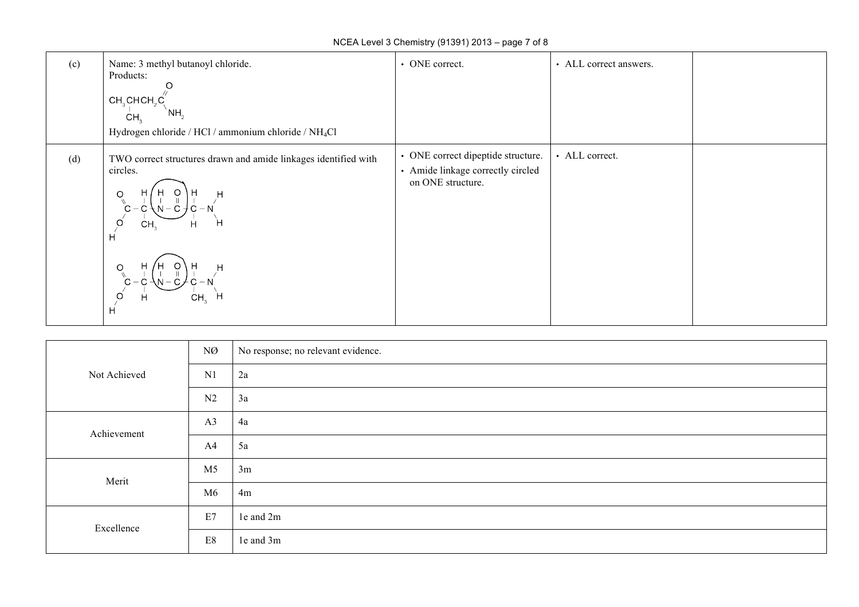| (c) | Name: 3 methyl butanoyl chloride.<br>Products:<br>$CH3CHCH2C1$<br>`NH,<br>CH,<br>Hydrogen chloride / HCl / ammonium chloride / NH <sub>4</sub> Cl        | • ONE correct.                                                                               | • ALL correct answers. |  |
|-----|----------------------------------------------------------------------------------------------------------------------------------------------------------|----------------------------------------------------------------------------------------------|------------------------|--|
| (d) | TWO correct structures drawn and amide linkages identified with<br>circles.<br>H<br>O<br>O<br><b>CH</b><br>н<br>H<br>н<br>O<br>CH <sub>2</sub><br>H<br>H | • ONE correct dipeptide structure.<br>• Amide linkage correctly circled<br>on ONE structure. | • ALL correct.         |  |

|              | NØ             | No response; no relevant evidence. |
|--------------|----------------|------------------------------------|
| Not Achieved | N1             | 2a                                 |
|              | N2             | 3a                                 |
| Achievement  | A3             | 4a                                 |
|              | A4             | 5a                                 |
| Merit        | M <sub>5</sub> | 3m                                 |
|              | M6             | 4m                                 |
| Excellence   | E7             | 1e and 2m                          |
|              | $\mathrm{E}8$  | le and 3m                          |